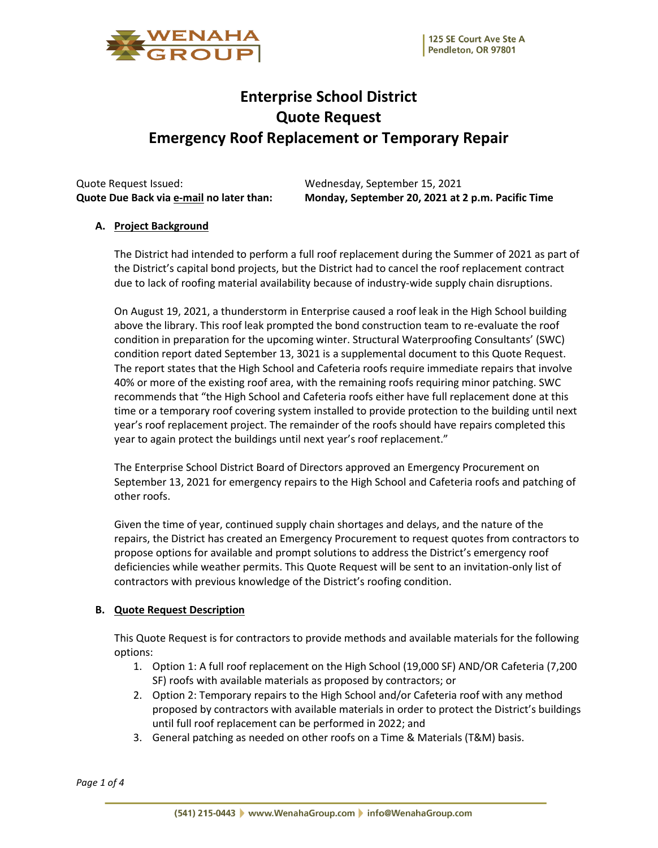

# **Enterprise School District Quote Request Emergency Roof Replacement or Temporary Repair**

Quote Request Issued: Wednesday, September 15, 2021

**Quote Due Back via e-mail no later than: Monday, September 20, 2021 at 2 p.m. Pacific Time**

## **A. Project Background**

The District had intended to perform a full roof replacement during the Summer of 2021 as part of the District's capital bond projects, but the District had to cancel the roof replacement contract due to lack of roofing material availability because of industry-wide supply chain disruptions.

On August 19, 2021, a thunderstorm in Enterprise caused a roof leak in the High School building above the library. This roof leak prompted the bond construction team to re-evaluate the roof condition in preparation for the upcoming winter. Structural Waterproofing Consultants' (SWC) condition report dated September 13, 3021 is a supplemental document to this Quote Request. The report states that the High School and Cafeteria roofs require immediate repairs that involve 40% or more of the existing roof area, with the remaining roofs requiring minor patching. SWC recommends that "the High School and Cafeteria roofs either have full replacement done at this time or a temporary roof covering system installed to provide protection to the building until next year's roof replacement project. The remainder of the roofs should have repairs completed this year to again protect the buildings until next year's roof replacement."

The Enterprise School District Board of Directors approved an Emergency Procurement on September 13, 2021 for emergency repairs to the High School and Cafeteria roofs and patching of other roofs.

Given the time of year, continued supply chain shortages and delays, and the nature of the repairs, the District has created an Emergency Procurement to request quotes from contractors to propose options for available and prompt solutions to address the District's emergency roof deficiencies while weather permits. This Quote Request will be sent to an invitation-only list of contractors with previous knowledge of the District's roofing condition.

## **B. Quote Request Description**

This Quote Request is for contractors to provide methods and available materials for the following options:

- 1. Option 1: A full roof replacement on the High School (19,000 SF) AND/OR Cafeteria (7,200 SF) roofs with available materials as proposed by contractors; or
- 2. Option 2: Temporary repairs to the High School and/or Cafeteria roof with any method proposed by contractors with available materials in order to protect the District's buildings until full roof replacement can be performed in 2022; and
- 3. General patching as needed on other roofs on a Time & Materials (T&M) basis.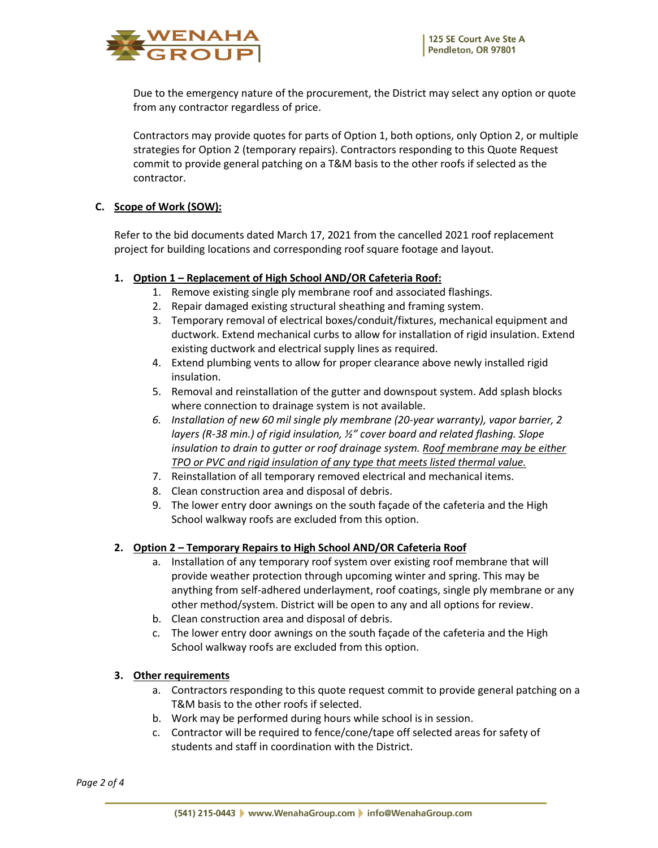

Due to the emergency nature of the procurement, the District may select any option or quote from any contractor regardless of price.

Contractors may provide quotes for parts of Option 1, both options, only Option 2, or multiple strategies for Option 2 (temporary repairs). Contractors responding to this Quote Request commit to provide general patching on a T&M basis to the other roofs if selected as the contractor.

## **C. Scope of Work (SOW):**

Refer to the bid documents dated March 17, 2021 from the cancelled 2021 roof replacement project for building locations and corresponding roof square footage and layout.

## **1. Option 1 – Replacement of High School AND/OR Cafeteria Roof:**

- 1. Remove existing single ply membrane roof and associated flashings.
- 2. Repair damaged existing structural sheathing and framing system.
- 3. Temporary removal of electrical boxes/conduit/fixtures, mechanical equipment and ductwork. Extend mechanical curbs to allow for installation of rigid insulation. Extend existing ductwork and electrical supply lines as required.
- 4. Extend plumbing vents to allow for proper clearance above newly installed rigid insulation.
- 5. Removal and reinstallation of the gutter and downspout system. Add splash blocks where connection to drainage system is not available.
- *6. Installation of new 60 mil single ply membrane (20-year warranty), vapor barrier, 2 layers (R-38 min.) of rigid insulation, ½" cover board and related flashing. Slope insulation to drain to gutter or roof drainage system. Roof membrane may be either TPO or PVC and rigid insulation of any type that meets listed thermal value.*
- 7. Reinstallation of all temporary removed electrical and mechanical items.
- 8. Clean construction area and disposal of debris.
- 9. The lower entry door awnings on the south façade of the cafeteria and the High School walkway roofs are excluded from this option.

## **2. Option 2 – Temporary Repairs to High School AND/OR Cafeteria Roof**

- a. Installation of any temporary roof system over existing roof membrane that will provide weather protection through upcoming winter and spring. This may be anything from self-adhered underlayment, roof coatings, single ply membrane or any other method/system. District will be open to any and all options for review.
- b. Clean construction area and disposal of debris.
- c. The lower entry door awnings on the south façade of the cafeteria and the High School walkway roofs are excluded from this option.

## **3. Other requirements**

- a. Contractors responding to this quote request commit to provide general patching on a T&M basis to the other roofs if selected.
- b. Work may be performed during hours while school is in session.
- c. Contractor will be required to fence/cone/tape off selected areas for safety of students and staff in coordination with the District.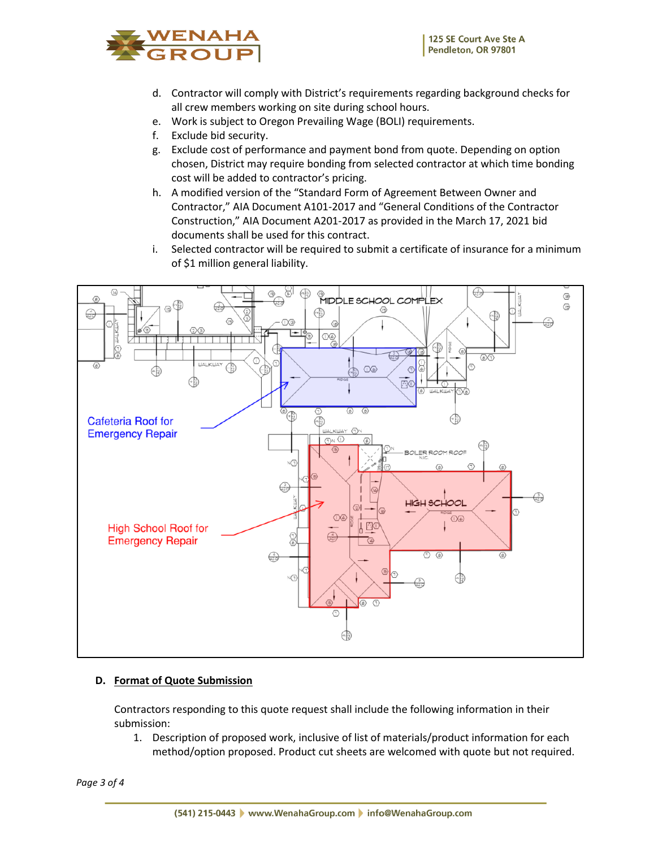

- d. Contractor will comply with District's requirements regarding background checks for all crew members working on site during school hours.
- e. Work is subject to Oregon Prevailing Wage (BOLI) requirements.
- f. Exclude bid security.
- g. Exclude cost of performance and payment bond from quote. Depending on option chosen, District may require bonding from selected contractor at which time bonding cost will be added to contractor's pricing.
- h. A modified version of the "Standard Form of Agreement Between Owner and Contractor," AIA Document A101-2017 and "General Conditions of the Contractor Construction," AIA Document A201-2017 as provided in the March 17, 2021 bid documents shall be used for this contract.
- i. Selected contractor will be required to submit a certificate of insurance for a minimum of \$1 million general liability.



## **D. Format of Quote Submission**

Contractors responding to this quote request shall include the following information in their submission:

1. Description of proposed work, inclusive of list of materials/product information for each method/option proposed. Product cut sheets are welcomed with quote but not required.

*Page 3 of 4*